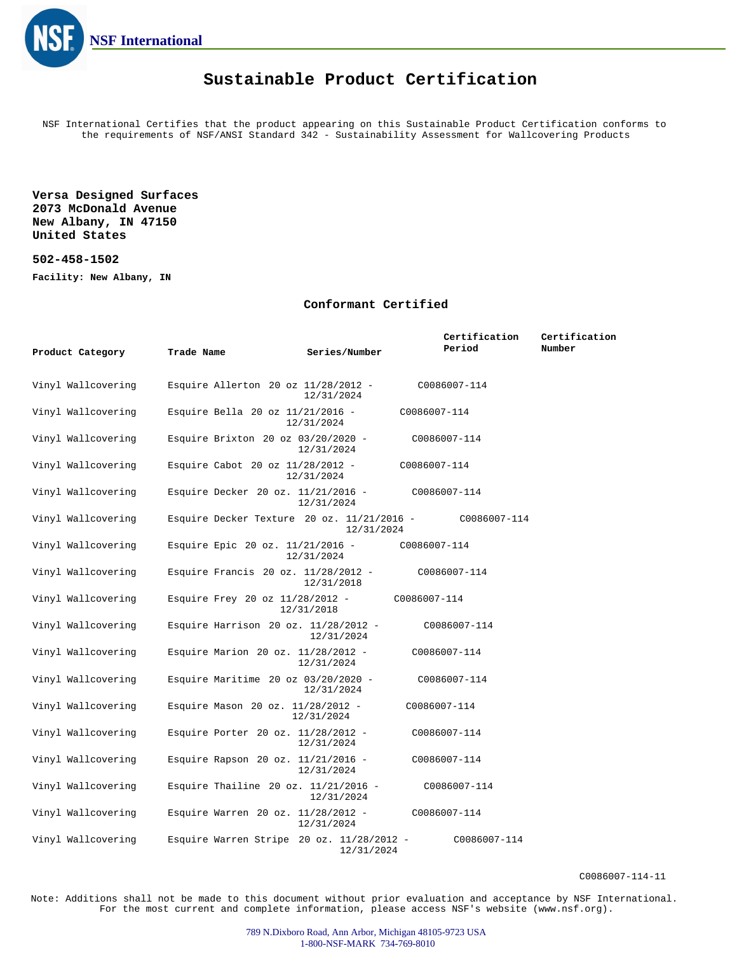

## **Sustainable Product Certification**

NSF International Certifies that the product appearing on this Sustainable Product Certification conforms to the requirements of NSF/ANSI Standard 342 - Sustainability Assessment for Wallcovering Products

**Versa Designed Surfaces 2073 McDonald Avenue New Albany, IN 47150 United States**

### **502-458-1502**

**Facility: New Albany, IN**

#### **Conformant Certified**

|                    |                                         |                                                             | Certification                                               | Certification |
|--------------------|-----------------------------------------|-------------------------------------------------------------|-------------------------------------------------------------|---------------|
| Product Category   | Trade Name                              | Series/Number                                               | Period                                                      | Number        |
| Vinyl Wallcovering |                                         | Esquire Allerton 20 oz $11/28/2012$ -<br>12/31/2024         | C0086007-114                                                |               |
| Vinyl Wallcovering | Esquire Bella 20 oz 11/21/2016 -        | 12/31/2024                                                  | C0086007-114                                                |               |
| Vinyl Wallcovering | Esquire Brixton 20 oz $03/20/2020 -$    | 12/31/2024                                                  | C0086007-114                                                |               |
| Vinyl Wallcovering | Esquire Cabot 20 oz $11/28/2012$ -      | 12/31/2024                                                  | C0086007-114                                                |               |
| Vinyl Wallcovering | Esquire Decker 20 oz. $11/21/2016$ -    | 12/31/2024                                                  | C0086007-114                                                |               |
| Vinyl Wallcovering |                                         | 12/31/2024                                                  | Esquire Decker Texture 20 oz. $11/21/2016$ - $C0086007-114$ |               |
| Vinyl Wallcovering | Esquire Epic 20 oz. 11/21/2016 -        | 12/31/2024                                                  | C0086007-114                                                |               |
| Vinyl Wallcovering |                                         | Esquire Francis $20$ oz. $11/28/2012$ -<br>12/31/2018       | C0086007-114                                                |               |
| Vinyl Wallcovering | Esquire Frey 20 oz $11/28/2012$ -       | 12/31/2018                                                  | C0086007-114                                                |               |
| Vinyl Wallcovering |                                         | Esquire Harrison 20 oz. $11/28/2012$ -<br>12/31/2024        | C0086007-114                                                |               |
| Vinyl Wallcovering | Esquire Marion 20 oz. $11/28/2012$ -    | 12/31/2024                                                  | C0086007-114                                                |               |
| Vinyl Wallcovering | Esquire Maritime $20$ oz $03/20/2020 -$ | 12/31/2024                                                  | C0086007-114                                                |               |
| Vinyl Wallcovering | Esquire Mason 20 oz. 11/28/2012 -       | 12/31/2024                                                  | C0086007-114                                                |               |
| Vinyl Wallcovering | Esquire Porter 20 oz. $11/28/2012$ -    | 12/31/2024                                                  | C0086007-114                                                |               |
| Vinyl Wallcovering | Esquire Rapson 20 oz. $11/21/2016$ -    | 12/31/2024                                                  | C0086007-114                                                |               |
| Vinyl Wallcovering |                                         | Esquire Thailine 20 oz. $11/21/2016$ -<br>12/31/2024        | C0086007-114                                                |               |
| Vinyl Wallcovering | Esquire Warren 20 oz. $11/28/2012$ -    | 12/31/2024                                                  | C0086007-114                                                |               |
| Vinyl Wallcovering |                                         | Esquire Warren Stripe $20$ oz. $11/28/2012$ -<br>12/31/2024 | C0086007-114                                                |               |

C0086007-114-11

Note: Additions shall not be made to this document without prior evaluation and acceptance by NSF International. For the most current and complete information, please access NSF's website (www.nsf.org).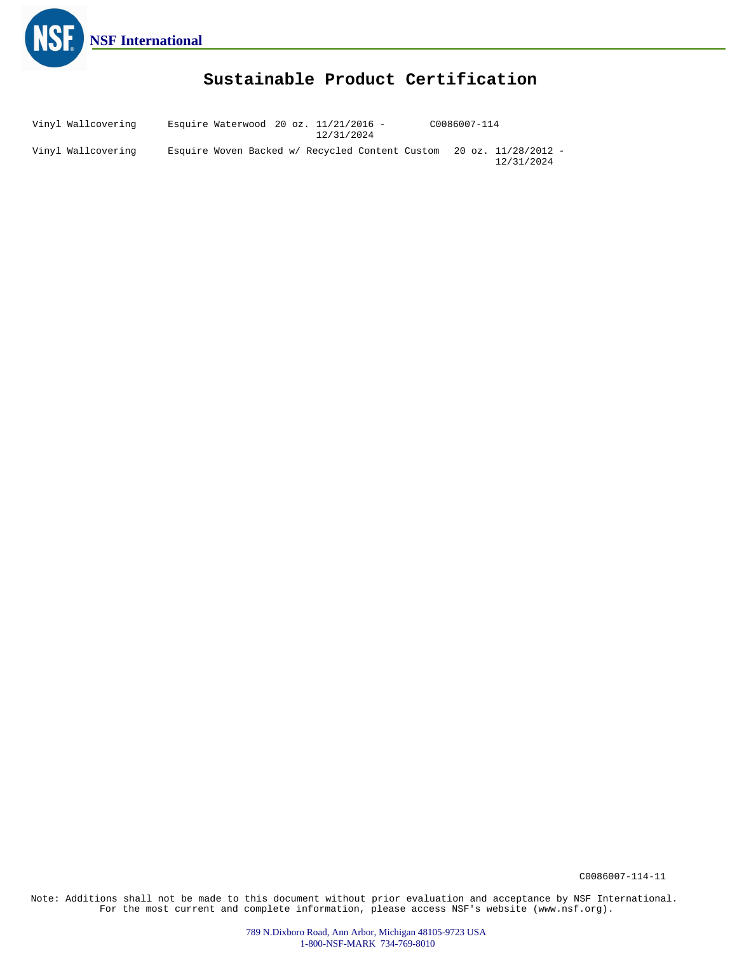

# **Sustainable Product Certification**

Vinyl Wallcovering Vinyl Wallcovering Esquire Waterwood 20 oz. 11/21/2016 - Esquire Woven Backed w/ Recycled Content Custom 20 oz. 11/28/2012 - 12/31/2024 12/31/2024 C0086007-114

C0086007-114-11

Note: Additions shall not be made to this document without prior evaluation and acceptance by NSF International. For the most current and complete information, please access NSF's website (www.nsf.org).